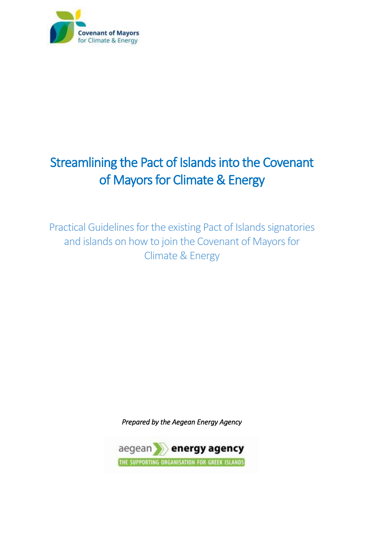

# Streamlining the Pact of Islands into the Covenant of Mayors for Climate & Energy

Practical Guidelines for the existing Pact of Islands signatories and islands on how to join the Covenant of Mayors for Climate & Energy

*Prepared by the Aegean Energy Agency* 

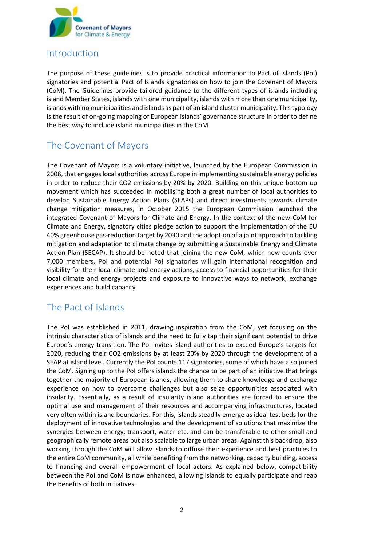

# Introduction

The purpose of these guidelines is to provide practical information to Pact of Islands (PoI) signatories and potential Pact of Islands signatories on how to join the Covenant of Mayors (CoM). The Guidelines provide tailored guidance to the different types of islands including island Member States, islands with one municipality, islands with more than one municipality, islands with no municipalities and islands as part of an island cluster municipality. This typology is the result of on-going mapping of European islands' governance structure in order to define the best way to include island municipalities in the CoM.

# The Covenant of Mayors

The Covenant of Mayors is a voluntary initiative, launched by the European Commission in 2008, that engages local authorities across Europe in implementing sustainable energy policies in order to reduce their CO2 emissions by 20% by 2020. Building on this unique bottom-up movement which has succeeded in mobilising both a great number of local authorities to develop Sustainable Energy Action Plans (SEAPs) and direct investments towards climate change mitigation measures, in October 2015 the European Commission launched the integrated Covenant of Mayors for Climate and Energy. In the context of the new CoM for Climate and Energy, signatory cities pledge action to support the implementation of the EU 40% greenhouse gas-reduction target by 2030 and the adoption of a joint approach to tackling mitigation and adaptation to climate change by submitting a Sustainable Energy and Climate Action Plan (SECAP). It should be noted that joining the new CoM, which now counts over 7,000 members, PoI and potential PoI signatories will gain international recognition and visibility for their local climate and energy actions, access to financial opportunities for their local climate and energy projects and exposure to innovative ways to network, exchange experiences and build capacity.

# The Pact of Islands

The PoI was established in 2011, drawing inspiration from the CoM, yet focusing on the intrinsic characteristics of islands and the need to fully tap their significant potential to drive Europe's energy transition. The PoI invites island authorities to exceed Europe's targets for 2020, reducing their CO2 emissions by at least 20% by 2020 through the development of a SEAP at island level. Currently the PoI counts 117 signatories, some of which have also joined the CoM. Signing up to the PoI offers islands the chance to be part of an initiative that brings together the majority of European islands, allowing them to share knowledge and exchange experience on how to overcome challenges but also seize opportunities associated with insularity. Essentially, as a result of insularity island authorities are forced to ensure the optimal use and management of their resources and accompanying infrastructures, located very often within island boundaries. For this, islands steadily emerge as ideal test beds for the deployment of innovative technologies and the development of solutions that maximize the synergies between energy, transport, water etc. and can be transferable to other small and geographically remote areas but also scalable to large urban areas. Against this backdrop, also working through the CoM will allow islands to diffuse their experience and best practices to the entire CoM community, all while benefiting from the networking, capacity building, access to financing and overall empowerment of local actors. As explained below, compatibility between the PoI and CoM is now enhanced, allowing islands to equally participate and reap the benefits of both initiatives.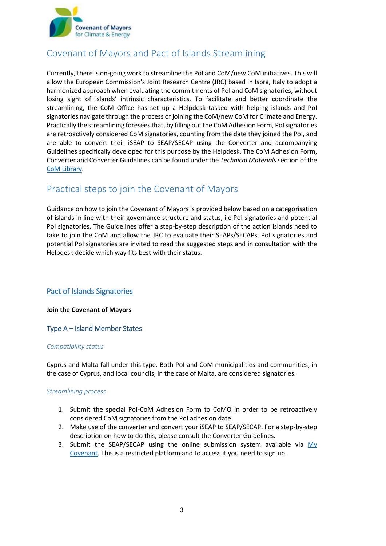

# Covenant of Mayors and Pact of Islands Streamlining

Currently, there is on-going work to streamline the PoI and CoM/new CoM initiatives. This will allow the European Commission's Joint Research Centre (JRC) based in Ispra, Italy to adopt a harmonized approach when evaluating the commitments of PoI and CoM signatories, without losing sight of islands' intrinsic characteristics. To facilitate and better coordinate the streamlining, the CoM Office has set up a Helpdesk tasked with helping islands and PoI signatories navigate through the process of joining the CoM/new CoM for Climate and Energy. Practically the streamlining foresees that, by filling out the CoM Adhesion Form, PoI signatories are retroactively considered CoM signatories, counting from the date they joined the PoI, and are able to convert their iSEAP to SEAP/SECAP using the Converter and accompanying Guidelines specifically developed for this purpose by the Helpdesk. The CoM Adhesion Form, Converter and Converter Guidelines can be found under the *Technical Materials* section of the [CoM Library.](http://www.covenantofmayors.eu/Covenant-technical-materials.html)

# Practical steps to join the Covenant of Mayors

Guidance on how to join the Covenant of Mayors is provided below based on a categorisation of islands in line with their governance structure and status, i.e PoI signatories and potential PoI signatories. The Guidelines offer a step-by-step description of the action islands need to take to join the CoM and allow the JRC to evaluate their SEAPs/SECAPs. PoI signatories and potential PoI signatories are invited to read the suggested steps and in consultation with the Helpdesk decide which way fits best with their status.

# **Pact of Islands Signatories**

# **Join the Covenant of Mayors**

# Type A – Island Member States

### *Compatibility status*

Cyprus and Malta fall under this type. Both PoI and CoM municipalities and communities, in the case of Cyprus, and local councils, in the case of Malta, are considered signatories.

### *Streamlining process*

- 1. Submit the special PoI-CoM Adhesion Form to CoMO in order to be retroactively considered CoM signatories from the PoI adhesion date.
- 2. Make use of the converter and convert your iSEAP to SEAP/SECAP. For a step-by-step description on how to do this, please consult the Converter Guidelines.
- 3. Submit the SEAP/SECAP using the online submission system available via [My](http://www.covenantofmayors.eu/sign-in_en.html)  [Covenant.](http://www.covenantofmayors.eu/sign-in_en.html) This is a restricted platform and to access it you need to sign up.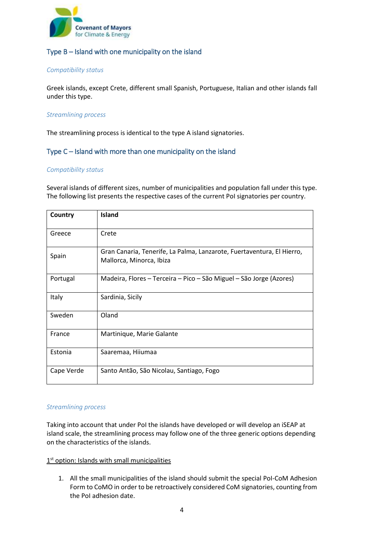

# Type Β – Island with one municipality on the island

### *Compatibility status*

Greek islands, except Crete, different small Spanish, Portuguese, Italian and other islands fall under this type.

### *Streamlining process*

The streamlining process is identical to the type A island signatories.

# Type C – Island with more than one municipality on the island

### *Compatibility status*

Several islands of different sizes, number of municipalities and population fall under this type. The following list presents the respective cases of the current PoI signatories per country.

| Country    | Island                                                                                             |  |
|------------|----------------------------------------------------------------------------------------------------|--|
| Greece     | Crete                                                                                              |  |
| Spain      | Gran Canaria, Tenerife, La Palma, Lanzarote, Fuertaventura, El Hierro,<br>Mallorca, Minorca, Ibiza |  |
| Portugal   | Madeira, Flores – Terceira – Pico – São Miguel – São Jorge (Azores)                                |  |
| Italy      | Sardinia, Sicily                                                                                   |  |
| Sweden     | Oland                                                                                              |  |
| France     | Martinique, Marie Galante                                                                          |  |
| Estonia    | Saaremaa, Hiiumaa                                                                                  |  |
| Cape Verde | Santo Antão, São Nicolau, Santiago, Fogo                                                           |  |

### *Streamlining process*

Taking into account that under PoI the islands have developed or will develop an iSEAP at island scale, the streamlining process may follow one of the three generic options depending on the characteristics of the islands.

### 1<sup>st</sup> option: Islands with small municipalities

1. All the small municipalities of the island should submit the special PoI-CoM Adhesion Form to CoMO in order to be retroactively considered CoM signatories, counting from the PoI adhesion date.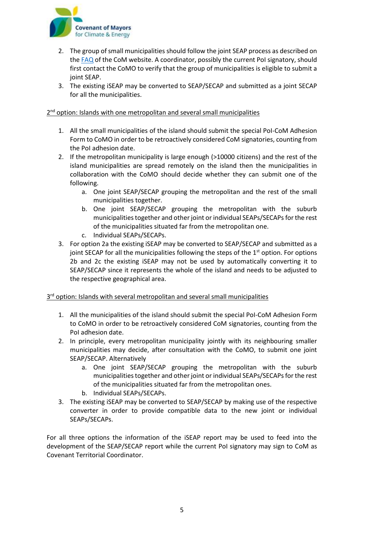

- 2. The group of small municipalities should follow the joint SEAP process as described on th[e FAQ](http://www.eumayors.eu/support/faq_en.html?id_faq=60) of the CoM website. A coordinator, possibly the current PoI signatory, should first contact the CoMO to verify that the group of municipalities is eligible to submit a joint SEAP.
- 3. The existing iSEAP may be converted to SEAP/SECAP and submitted as a joint SECAP for all the municipalities.

# 2<sup>nd</sup> option: Islands with one metropolitan and several small municipalities

- 1. All the small municipalities of the island should submit the special PoI-CoM Adhesion Form to CoMO in order to be retroactively considered CoM signatories, counting from the PoI adhesion date.
- 2. If the metropolitan municipality is large enough (>10000 citizens) and the rest of the island municipalities are spread remotely on the island then the municipalities in collaboration with the CoMO should decide whether they can submit one of the following.
	- a. One joint SEAP/SECAP grouping the metropolitan and the rest of the small municipalities together.
	- b. One joint SEAP/SECAP grouping the metropolitan with the suburb municipalities together and other joint or individual SEAPs/SECAPs for the rest of the municipalities situated far from the metropolitan one.
	- c. Individual SEAPs/SECAPs.
- 3. For option 2a the existing iSEAP may be converted to SEAP/SECAP and submitted as a joint SECAP for all the municipalities following the steps of the  $1<sup>st</sup>$  option. For options 2b and 2c the existing iSEAP may not be used by automatically converting it to SEAP/SECAP since it represents the whole of the island and needs to be adjusted to the respective geographical area.

# 3<sup>rd</sup> option: Islands with several metropolitan and several small municipalities

- 1. All the municipalities of the island should submit the special PoI-CoM Adhesion Form to CoMO in order to be retroactively considered CoM signatories, counting from the PoI adhesion date.
- 2. In principle, every metropolitan municipality jointly with its neighbouring smaller municipalities may decide, after consultation with the CoMO, to submit one joint SEAP/SECAP. Alternatively
	- a. One joint SEAP/SECAP grouping the metropolitan with the suburb municipalities together and other joint or individual SEAPs/SECAPs for the rest of the municipalities situated far from the metropolitan ones.
	- b. Individual SEAPs/SECAPs.
- 3. The existing iSEAP may be converted to SEAP/SECAP by making use of the respective converter in order to provide compatible data to the new joint or individual SEAPs/SECAPs.

For all three options the information of the iSEAP report may be used to feed into the development of the SEAP/SECAP report while the current PoI signatory may sign to CoM as Covenant Territorial Coordinator.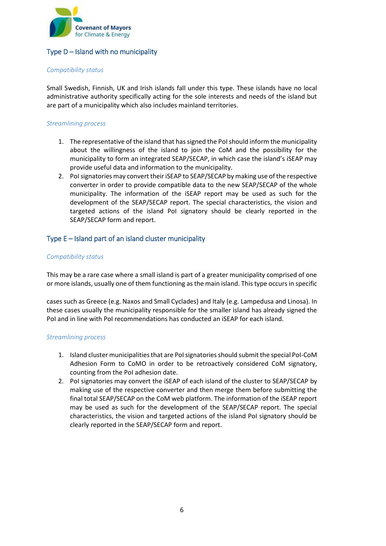

# Type  $D$  – Island with no municipality

### *Compatibility status*

Small Swedish, Finnish, UK and Irish islands fall under this type. These islands have no local administrative authority specifically acting for the sole interests and needs of the island but are part of a municipality which also includes mainland territories.

### *Streamlining process*

- 1. The representative of the island that has signed the PoI should inform the municipality about the willingness of the island to join the CoM and the possibility for the municipality to form an integrated SEAP/SECAP, in which case the island's iSEAP may provide useful data and information to the municipality.
- 2. PoI signatories may convert their iSEAP to SEAP/SECAP by making use of the respective converter in order to provide compatible data to the new SEAP/SECAP of the whole municipality. The information of the iSEAP report may be used as such for the development of the SEAP/SECAP report. The special characteristics, the vision and targeted actions of the island PoI signatory should be clearly reported in the SEAP/SECAP form and report.

# Type E – Island part of an island cluster municipality

### *Compatibility status*

This may be a rare case where a small island is part of a greater municipality comprised of one or more islands, usually one of them functioning as the main island. This type occurs in specific

cases such as Greece (e.g. Naxos and Small Cyclades) and Italy (e.g. Lampedusa and Linosa). In these cases usually the municipality responsible for the smaller island has already signed the PoI and in line with PoI recommendations has conducted an iSEAP for each island.

### *Streamlining process*

- 1. Island cluster municipalities that are PoI signatories should submit the special PoI-CoM Adhesion Form to CoMO in order to be retroactively considered CoM signatory, counting from the PoI adhesion date.
- 2. PoI signatories may convert the iSEAP of each island of the cluster to SEAP/SECAP by making use of the respective converter and then merge them before submitting the final total SEAP/SECAP on the CoM web platform. The information of the iSEAP report may be used as such for the development of the SEAP/SECAP report. The special characteristics, the vision and targeted actions of the island PoI signatory should be clearly reported in the SEAP/SECAP form and report.